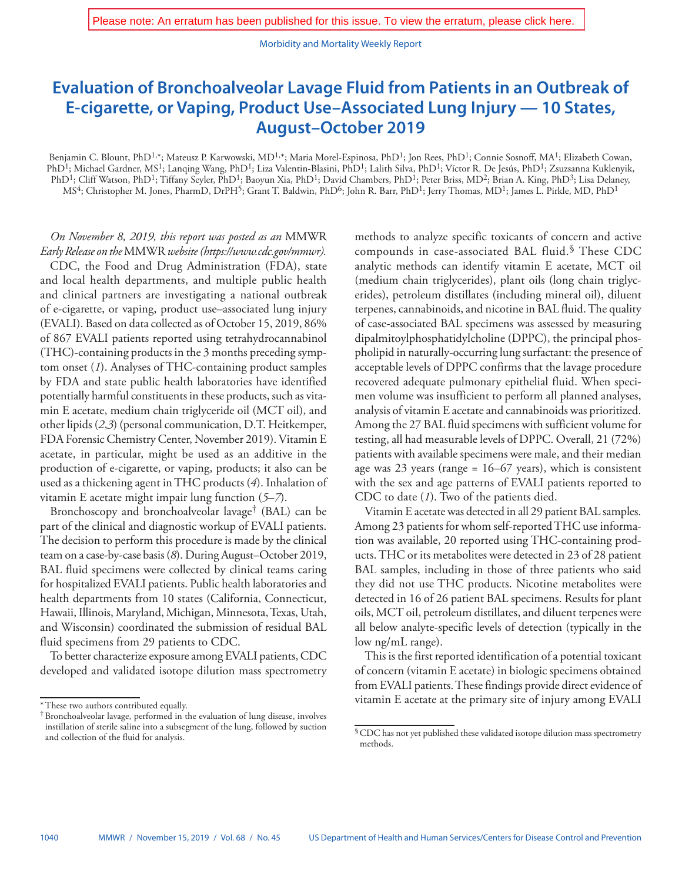Morbidity and Mortality Weekly Report

## **Evaluation of Bronchoalveolar Lavage Fluid from Patients in an Outbreak of E-cigarette, or Vaping, Product Use–Associated Lung Injury — 10 States, August–October 2019**

Benjamin C. Blount, PhD<sup>1,\*</sup>; Mateusz P. Karwowski, MD<sup>1,\*</sup>; Maria Morel-Espinosa, PhD<sup>1</sup>; Jon Rees, PhD<sup>1</sup>; Connie Sosnoff, MA<sup>1</sup>; Elizabeth Cowan, PhD<sup>1</sup>; Michael Gardner, MS<sup>1</sup>; Lanqing Wang, PhD<sup>1</sup>; Liza Valentin-Blasini, PhD<sup>1</sup>; Lalith Silva, PhD<sup>1</sup>; Víctor R. De Jesús, PhD<sup>1</sup>; Zsuzsanna Kuklenyik, PhD<sup>1</sup>; Cliff Watson, PhD<sup>1</sup>; Tiffany Seyler, PhD<sup>1</sup>; Baoyun Xia, PhD<sup>1</sup>; David Chambers, PhD<sup>1</sup>; Peter Briss, MD<sup>2</sup>; Brian A. King, PhD<sup>3</sup>; Lisa Delaney, MS<sup>4</sup>; Christopher M. Jones, PharmD, DrPH<sup>5</sup>; Grant T. Baldwin, PhD<sup>6</sup>; John R. Barr, PhD<sup>1</sup>; Jerry Thomas, MD<sup>1</sup>; James L. Pirkle, MD, PhD<sup>1</sup>

## *On November 8, 2019, this report was posted as an* MMWR *Early Release on the* MMWR *website (<https://www.cdc.gov/mmwr>).*

CDC, the Food and Drug Administration (FDA), state and local health departments, and multiple public health and clinical partners are investigating a national outbreak of e-cigarette, or vaping, product use–associated lung injury (EVALI). Based on data collected as of October 15, 2019, 86% of 867 EVALI patients reported using tetrahydrocannabinol (THC)-containing products in the 3 months preceding symptom onset (*1*). Analyses of THC-containing product samples by FDA and state public health laboratories have identified potentially harmful constituents in these products, such as vitamin E acetate, medium chain triglyceride oil (MCT oil), and other lipids (*2*,*3*) (personal communication, D.T. Heitkemper, FDA Forensic Chemistry Center, November 2019). Vitamin E acetate, in particular, might be used as an additive in the production of e-cigarette, or vaping, products; it also can be used as a thickening agent in THC products (*4*). Inhalation of vitamin E acetate might impair lung function (*5*–*7*).

Bronchoscopy and bronchoalveolar lavage† (BAL) can be part of the clinical and diagnostic workup of EVALI patients. The decision to perform this procedure is made by the clinical team on a case-by-case basis (*8*). During August–October 2019, BAL fluid specimens were collected by clinical teams caring for hospitalized EVALI patients. Public health laboratories and health departments from 10 states (California, Connecticut, Hawaii, Illinois, Maryland, Michigan, Minnesota, Texas, Utah, and Wisconsin) coordinated the submission of residual BAL fluid specimens from 29 patients to CDC.

To better characterize exposure among EVALI patients, CDC developed and validated isotope dilution mass spectrometry methods to analyze specific toxicants of concern and active compounds in case-associated BAL fluid.§ These CDC analytic methods can identify vitamin E acetate, MCT oil (medium chain triglycerides), plant oils (long chain triglycerides), petroleum distillates (including mineral oil), diluent terpenes, cannabinoids, and nicotine in BAL fluid. The quality of case-associated BAL specimens was assessed by measuring dipalmitoylphosphatidylcholine (DPPC), the principal phospholipid in naturally-occurring lung surfactant: the presence of acceptable levels of DPPC confirms that the lavage procedure recovered adequate pulmonary epithelial fluid. When specimen volume was insufficient to perform all planned analyses, analysis of vitamin E acetate and cannabinoids was prioritized. Among the 27 BAL fluid specimens with sufficient volume for testing, all had measurable levels of DPPC. Overall, 21 (72%) patients with available specimens were male, and their median age was 23 years (range = 16–67 years), which is consistent with the sex and age patterns of EVALI patients reported to CDC to date (*1*). Two of the patients died.

Vitamin E acetate was detected in all 29 patient BAL samples. Among 23 patients for whom self-reported THC use information was available, 20 reported using THC-containing products. THC or its metabolites were detected in 23 of 28 patient BAL samples, including in those of three patients who said they did not use THC products. Nicotine metabolites were detected in 16 of 26 patient BAL specimens. Results for plant oils, MCT oil, petroleum distillates, and diluent terpenes were all below analyte-specific levels of detection (typically in the low ng/mL range).

This is the first reported identification of a potential toxicant of concern (vitamin E acetate) in biologic specimens obtained from EVALI patients. These findings provide direct evidence of vitamin E acetate at the primary site of injury among EVALI

<sup>\*</sup>These two authors contributed equally.

<sup>†</sup>Bronchoalveolar lavage, performed in the evaluation of lung disease, involves instillation of sterile saline into a subsegment of the lung, followed by suction and collection of the fluid for analysis.

<sup>§</sup>CDC has not yet published these validated isotope dilution mass spectrometry methods.